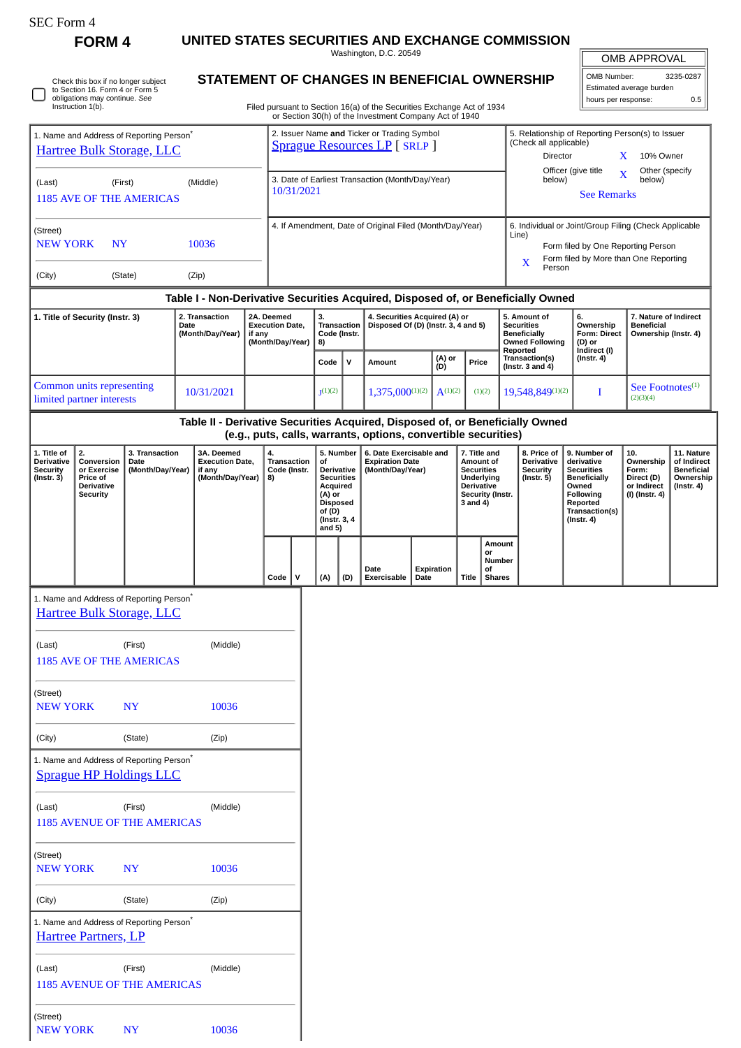| .F.C. Form |
|------------|
|------------|

(Last) (First) (Middle) 1185 AVENUE OF THE AMERICAS

NEW YORK NY 10036

(Street)

|                                                                                                                              |                                                                                     |                                            |                  | Washington, D.C. 20549                                                              |                                                                                                                        |                                         |                                      |                                                                                                                                   |                                    |                                                                                                                                                          |                        |                                                                                                                                               |                                                                               |                                                           |                                                                                                                                                | OMB APPROVAL<br>OMB Number:<br>3235-0287                                 |                                                                                 |  |
|------------------------------------------------------------------------------------------------------------------------------|-------------------------------------------------------------------------------------|--------------------------------------------|------------------|-------------------------------------------------------------------------------------|------------------------------------------------------------------------------------------------------------------------|-----------------------------------------|--------------------------------------|-----------------------------------------------------------------------------------------------------------------------------------|------------------------------------|----------------------------------------------------------------------------------------------------------------------------------------------------------|------------------------|-----------------------------------------------------------------------------------------------------------------------------------------------|-------------------------------------------------------------------------------|-----------------------------------------------------------|------------------------------------------------------------------------------------------------------------------------------------------------|--------------------------------------------------------------------------|---------------------------------------------------------------------------------|--|
| Check this box if no longer subject<br>to Section 16. Form 4 or Form 5<br>obligations may continue. See<br>Instruction 1(b). |                                                                                     |                                            |                  |                                                                                     | STATEMENT OF CHANGES IN BENEFICIAL OWNERSHIP<br>Filed pursuant to Section 16(a) of the Securities Exchange Act of 1934 |                                         |                                      |                                                                                                                                   |                                    |                                                                                                                                                          |                        |                                                                                                                                               |                                                                               |                                                           |                                                                                                                                                | Estimated average burden<br>hours per response:<br>0.5                   |                                                                                 |  |
|                                                                                                                              |                                                                                     |                                            |                  |                                                                                     |                                                                                                                        |                                         |                                      |                                                                                                                                   |                                    | or Section 30(h) of the Investment Company Act of 1940                                                                                                   |                        |                                                                                                                                               |                                                                               |                                                           |                                                                                                                                                |                                                                          |                                                                                 |  |
| 1. Name and Address of Reporting Person <sup>®</sup><br>Hartree Bulk Storage, LLC                                            |                                                                                     |                                            |                  | 2. Issuer Name and Ticker or Trading Symbol<br><b>Sprague Resources LP</b> [ SRLP ] |                                                                                                                        |                                         |                                      |                                                                                                                                   |                                    |                                                                                                                                                          |                        | 5. Relationship of Reporting Person(s) to Issuer<br>(Check all applicable)<br>Director<br>10% Owner<br>X.                                     |                                                                               |                                                           |                                                                                                                                                |                                                                          |                                                                                 |  |
| (Last)                                                                                                                       | (First)<br><b>1185 AVE OF THE AMERICAS</b>                                          |                                            |                  | (Middle)                                                                            |                                                                                                                        |                                         | 10/31/2021                           |                                                                                                                                   |                                    | 3. Date of Earliest Transaction (Month/Day/Year)                                                                                                         |                        |                                                                                                                                               |                                                                               | below)                                                    | Officer (give title<br><b>See Remarks</b>                                                                                                      | Other (specify<br>$\overline{\mathbf{X}}$<br>below)                      |                                                                                 |  |
| (Street)<br><b>NEW YORK</b><br>10036<br><b>NY</b>                                                                            |                                                                                     |                                            |                  | 4. If Amendment, Date of Original Filed (Month/Day/Year)                            |                                                                                                                        |                                         |                                      |                                                                                                                                   |                                    |                                                                                                                                                          |                        | 6. Individual or Joint/Group Filing (Check Applicable<br>Line)<br>Form filed by One Reporting Person<br>Form filed by More than One Reporting |                                                                               |                                                           |                                                                                                                                                |                                                                          |                                                                                 |  |
| (City)                                                                                                                       |                                                                                     | (State)                                    |                  | (Zip)                                                                               |                                                                                                                        |                                         |                                      |                                                                                                                                   |                                    |                                                                                                                                                          |                        |                                                                                                                                               |                                                                               | X<br>Person                                               |                                                                                                                                                |                                                                          |                                                                                 |  |
| 1. Title of Security (Instr. 3)                                                                                              |                                                                                     |                                            |                  | 2. Transaction<br>Date<br>if any                                                    |                                                                                                                        |                                         | 2A. Deemed<br><b>Execution Date,</b> |                                                                                                                                   | <b>Transaction</b><br>Code (Instr. | Table I - Non-Derivative Securities Acquired, Disposed of, or Beneficially Owned<br>4. Securities Acquired (A) or<br>Disposed Of (D) (Instr. 3, 4 and 5) |                        | 5. Amount of<br><b>Securities</b><br><b>Beneficially</b>                                                                                      |                                                                               | 6.<br>Ownership<br><b>Form: Direct</b>                    | 7. Nature of Indirect<br><b>Beneficial</b><br>Ownership (Instr. 4)                                                                             |                                                                          |                                                                                 |  |
|                                                                                                                              |                                                                                     |                                            | (Month/Day/Year) |                                                                                     | (Month/Day/Year)                                                                                                       |                                         | 8)<br>Code<br>v                      |                                                                                                                                   | Amount                             | (A) or<br>(D)                                                                                                                                            | Price                  |                                                                                                                                               | <b>Owned Following</b><br>Reported<br>Transaction(s)<br>(Instr. $3$ and $4$ ) | (D) or<br>Indirect (I)<br>$($ Instr. 4 $)$<br>$\bf I$     | See Footnotes <sup>(1)</sup><br>(2)(3)(4)                                                                                                      |                                                                          |                                                                                 |  |
| Common units representing<br>limited partner interests                                                                       |                                                                                     |                                            |                  | 10/31/2021                                                                          |                                                                                                                        |                                         |                                      | 1(1)(2)                                                                                                                           |                                    | $1,375,000^{(1)(2)}$                                                                                                                                     | $A^{(1)(2)}$<br>(1)(2) |                                                                                                                                               |                                                                               |                                                           |                                                                                                                                                |                                                                          | 19,548,849(1)(2)                                                                |  |
|                                                                                                                              |                                                                                     |                                            |                  |                                                                                     |                                                                                                                        |                                         |                                      |                                                                                                                                   |                                    | Table II - Derivative Securities Acquired, Disposed of, or Beneficially Owned<br>(e.g., puts, calls, warrants, options, convertible securities)          |                        |                                                                                                                                               |                                                                               |                                                           |                                                                                                                                                |                                                                          |                                                                                 |  |
| 1. Title of<br>Derivative<br>Security<br>$($ Instr. 3 $)$                                                                    | 2.<br>Conversion<br>or Exercise<br>Price of<br><b>Derivative</b><br><b>Security</b> | 3. Transaction<br>Date<br>(Month/Day/Year) |                  | 3A. Deemed<br><b>Execution Date,</b><br>if any<br>(Month/Day/Year)                  |                                                                                                                        | 4.<br>Transaction<br>Code (Instr.<br>8) |                                      | 5. Number<br>of<br>Derivative<br><b>Securities</b><br>Acquired<br>(A) or<br><b>Disposed</b><br>of (D)<br>(Instr. 3, 4<br>and $5)$ |                                    | 6. Date Exercisable and<br><b>Expiration Date</b><br>(Month/Day/Year)                                                                                    |                        | 7. Title and<br>Amount of<br><b>Securities</b><br>Underlying<br><b>Derivative</b><br><b>Security (Instr.</b><br>3 and 4)                      |                                                                               | 8. Price of<br>Derivative<br>Security<br>$($ Instr. 5 $)$ | 9. Number of<br>derivative<br><b>Securities</b><br><b>Beneficially</b><br>Owned<br>Following<br>Reported<br>Transaction(s)<br>$($ Instr. 4 $)$ | 10.<br>Ownership<br>Form:<br>Direct (D)<br>or Indirect<br>(I) (Instr. 4) | 11. Nature<br>of Indirect<br><b>Beneficial</b><br>Ownership<br>$($ Instr. 4 $)$ |  |
|                                                                                                                              |                                                                                     |                                            |                  |                                                                                     |                                                                                                                        |                                         | Code $\vert \vee \vert$              |                                                                                                                                   |                                    | Date<br>$\big $ (A) $\big $ (D) Exercisable<br>Date                                                                                                      | Expiration             | or<br>of<br>Title Shares                                                                                                                      | Amount<br>Number                                                              |                                                           |                                                                                                                                                |                                                                          |                                                                                 |  |
|                                                                                                                              | 1. Name and Address of Reporting Person <sup>®</sup><br>Hartree Bulk Storage, LLC   |                                            |                  |                                                                                     |                                                                                                                        |                                         |                                      |                                                                                                                                   |                                    |                                                                                                                                                          |                        |                                                                                                                                               |                                                                               |                                                           |                                                                                                                                                |                                                                          |                                                                                 |  |
| (Last)                                                                                                                       | <b>1185 AVE OF THE AMERICAS</b>                                                     | (First)                                    |                  | (Middle)                                                                            |                                                                                                                        |                                         |                                      |                                                                                                                                   |                                    |                                                                                                                                                          |                        |                                                                                                                                               |                                                                               |                                                           |                                                                                                                                                |                                                                          |                                                                                 |  |
| (Street)<br><b>NEW YORK</b>                                                                                                  |                                                                                     | <b>NY</b>                                  |                  | 10036                                                                               |                                                                                                                        |                                         |                                      |                                                                                                                                   |                                    |                                                                                                                                                          |                        |                                                                                                                                               |                                                                               |                                                           |                                                                                                                                                |                                                                          |                                                                                 |  |
| (City)                                                                                                                       |                                                                                     | (State)                                    |                  | (Zip)                                                                               |                                                                                                                        |                                         |                                      |                                                                                                                                   |                                    |                                                                                                                                                          |                        |                                                                                                                                               |                                                                               |                                                           |                                                                                                                                                |                                                                          |                                                                                 |  |
|                                                                                                                              | 1. Name and Address of Reporting Person*<br><b>Sprague HP Holdings LLC</b>          |                                            |                  |                                                                                     |                                                                                                                        |                                         |                                      |                                                                                                                                   |                                    |                                                                                                                                                          |                        |                                                                                                                                               |                                                                               |                                                           |                                                                                                                                                |                                                                          |                                                                                 |  |
| (Last)                                                                                                                       | <b>1185 AVENUE OF THE AMERICAS</b>                                                  | (First)                                    |                  | (Middle)                                                                            |                                                                                                                        |                                         |                                      |                                                                                                                                   |                                    |                                                                                                                                                          |                        |                                                                                                                                               |                                                                               |                                                           |                                                                                                                                                |                                                                          |                                                                                 |  |
|                                                                                                                              |                                                                                     |                                            |                  |                                                                                     |                                                                                                                        |                                         |                                      |                                                                                                                                   |                                    |                                                                                                                                                          |                        |                                                                                                                                               |                                                                               |                                                           |                                                                                                                                                |                                                                          |                                                                                 |  |
| (Street)<br><b>NEW YORK</b>                                                                                                  |                                                                                     | <b>NY</b>                                  |                  | 10036                                                                               |                                                                                                                        |                                         |                                      |                                                                                                                                   |                                    |                                                                                                                                                          |                        |                                                                                                                                               |                                                                               |                                                           |                                                                                                                                                |                                                                          |                                                                                 |  |